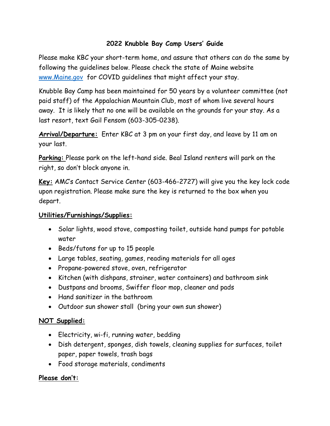### **2022 Knubble Bay Camp Users' Guide**

Please make KBC your short-term home, and assure that others can do the same by following the guidelines below. Please check the state of Maine website [www.Maine.gov](http://www.maine.gov/) for COVID guidelines that might affect your stay.

Knubble Bay Camp has been maintained for 50 years by a volunteer committee (not paid staff) of the Appalachian Mountain Club, most of whom live several hours away. It is likely that no one will be available on the grounds for your stay. As a last resort, text Gail Fensom (603-305-0238).

**Arrival/Departure:** Enter KBC at 3 pm on your first day, and leave by 11 am on your last.

**Parking:** Please park on the left-hand side. Beal Island renters will park on the right, so don't block anyone in.

**Key:** AMC's Contact Service Center (603-466-2727) will give you the key lock code upon registration. Please make sure the key is returned to the box when you depart.

#### **Utilities/Furnishings/Supplies:**

- Solar lights, wood stove, composting toilet, outside hand pumps for potable water
- Beds/futons for up to 15 people
- Large tables, seating, games, reading materials for all ages
- Propane-powered stove, oven, refrigerator
- Kitchen (with dishpans, strainer, water containers) and bathroom sink
- Dustpans and brooms, Swiffer floor mop, cleaner and pads
- Hand sanitizer in the bathroom
- Outdoor sun shower stall (bring your own sun shower)

### **NOT Supplied:**

- Electricity, wi-fi, running water, bedding
- Dish detergent, sponges, dish towels, cleaning supplies for surfaces, toilet paper, paper towels, trash bags
- Food storage materials, condiments

### **Please don't:**